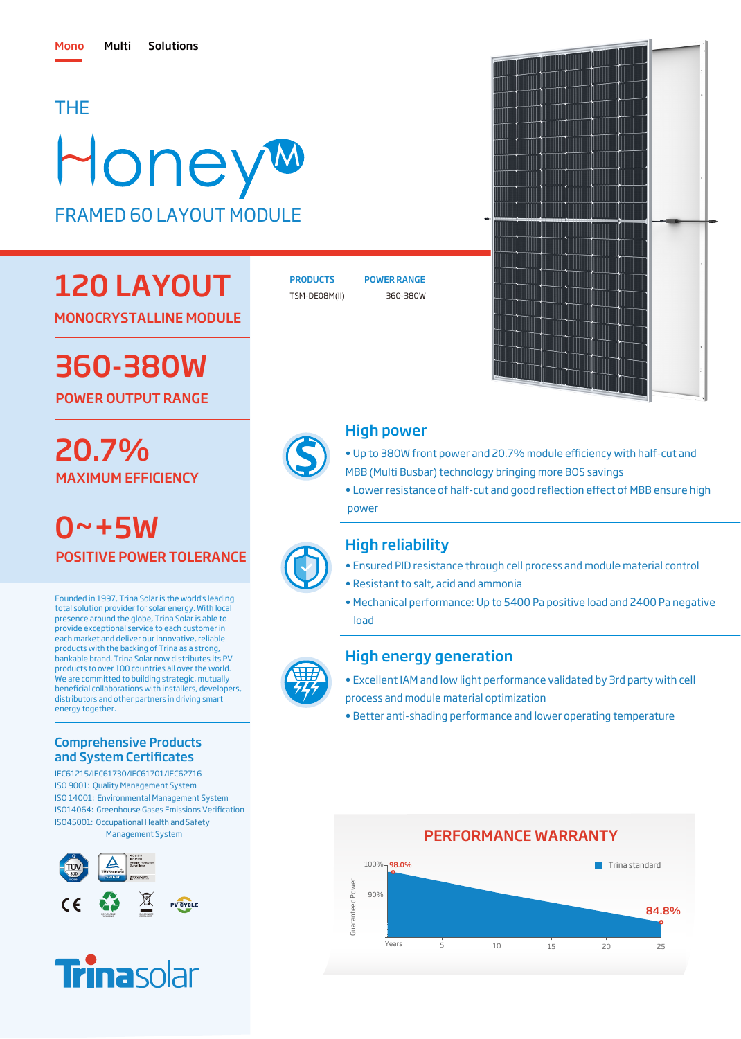### THE

# HoneyM FRAMED 60 LAYOUT MODULE

# 120 LAYOUT

MONOCRYSTALLINE MODULE

# 360-380W

POWER OUTPUT RANGE

# MAXIMUM EFFICIENCY 20.7%

0~+5W POSITIVE POWER TOLERANCE

Founded in 1997, Trina Solar is the world's leading total solution provider for solar energy. With local presence around the globe, Trina Solar is able to provide exceptional service to each customer in each market and deliver our innovative, reliable products with the backing of Trina as a strong, bankable brand. Trina Solar now distributes its PV products to over 100 countries all over the world. .<br>We are committed to building strategic, mutually beneficial collaborations with installers, developers, distributors and other partners in driving smart energy together.

#### Comprehensive Products and System Certificates

IEC61215/IEC61730/IEC61701/IEC62716 ISO 9001: Quality Management System ISO 14001: Environmental Management System ISO45001: Occupational Health and Safety Management System ISO14064: Greenhouse Gases Emissions Verification





TSM-DE08M(II) 360-380W





### High power

- Up to 380W front power and 20.7% module efficiency with half-cut and MBB (Multi Busbar) technology bringing more BOS savings
- Lower resistance of half-cut and good reflection effect of MBB ensure high power

### High reliability

- Ensured PID resistance through cell process and module material control
- Resistant to salt, acid and ammonia
- Mechanical performance: Up to 5400 Pa positive load and 2400 Pa negative load



### High energy generation

- Excellent IAM and low light performance validated by 3rd party with cell process and module material optimization
- Better anti-shading performance and lower operating temperature